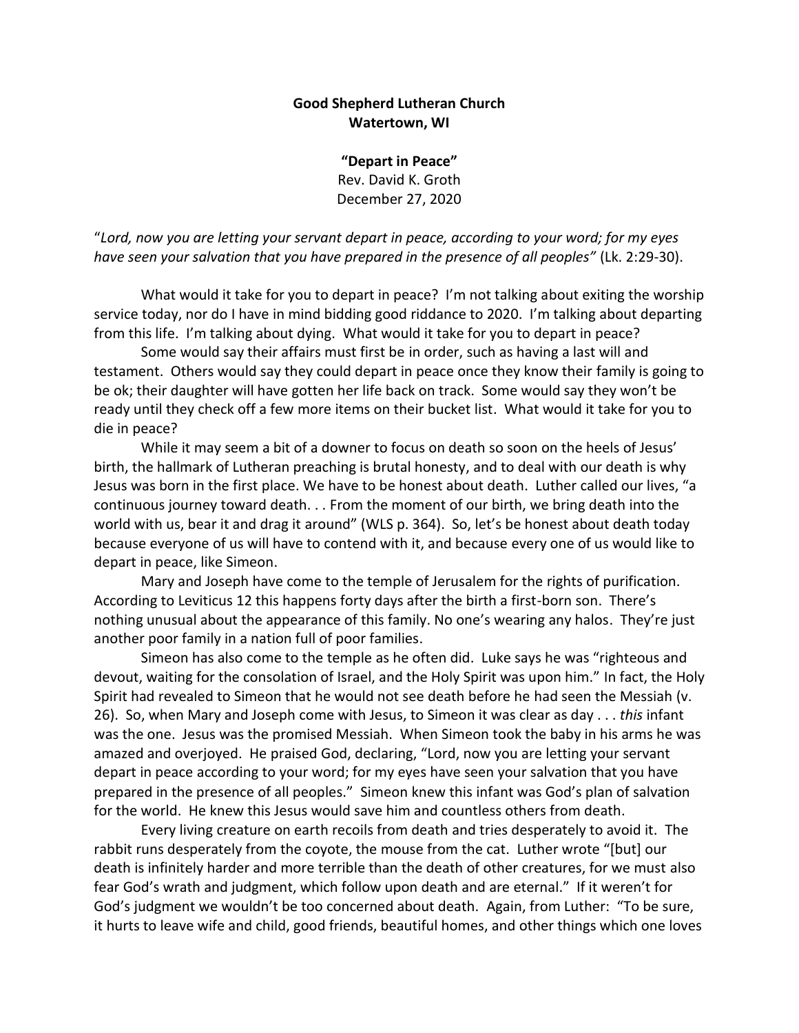## **Good Shepherd Lutheran Church Watertown, WI**

**"Depart in Peace"** Rev. David K. Groth December 27, 2020

"*Lord, now you are letting your servant depart in peace, according to your word; for my eyes have seen your salvation that you have prepared in the presence of all peoples"* (Lk. 2:29-30).

What would it take for you to depart in peace? I'm not talking about exiting the worship service today, nor do I have in mind bidding good riddance to 2020. I'm talking about departing from this life. I'm talking about dying. What would it take for you to depart in peace?

Some would say their affairs must first be in order, such as having a last will and testament. Others would say they could depart in peace once they know their family is going to be ok; their daughter will have gotten her life back on track. Some would say they won't be ready until they check off a few more items on their bucket list. What would it take for you to die in peace?

While it may seem a bit of a downer to focus on death so soon on the heels of Jesus' birth, the hallmark of Lutheran preaching is brutal honesty, and to deal with our death is why Jesus was born in the first place. We have to be honest about death. Luther called our lives, "a continuous journey toward death. . . From the moment of our birth, we bring death into the world with us, bear it and drag it around" (WLS p. 364). So, let's be honest about death today because everyone of us will have to contend with it, and because every one of us would like to depart in peace, like Simeon.

Mary and Joseph have come to the temple of Jerusalem for the rights of purification. According to Leviticus 12 this happens forty days after the birth a first-born son. There's nothing unusual about the appearance of this family. No one's wearing any halos. They're just another poor family in a nation full of poor families.

Simeon has also come to the temple as he often did. Luke says he was "righteous and devout, waiting for the consolation of Israel, and the Holy Spirit was upon him." In fact, the Holy Spirit had revealed to Simeon that he would not see death before he had seen the Messiah (v. 26). So, when Mary and Joseph come with Jesus, to Simeon it was clear as day . . . *this* infant was the one. Jesus was the promised Messiah. When Simeon took the baby in his arms he was amazed and overjoyed. He praised God, declaring, "Lord, now you are letting your servant depart in peace according to your word; for my eyes have seen your salvation that you have prepared in the presence of all peoples." Simeon knew this infant was God's plan of salvation for the world. He knew this Jesus would save him and countless others from death.

Every living creature on earth recoils from death and tries desperately to avoid it. The rabbit runs desperately from the coyote, the mouse from the cat. Luther wrote "[but] our death is infinitely harder and more terrible than the death of other creatures, for we must also fear God's wrath and judgment, which follow upon death and are eternal." If it weren't for God's judgment we wouldn't be too concerned about death. Again, from Luther: "To be sure, it hurts to leave wife and child, good friends, beautiful homes, and other things which one loves